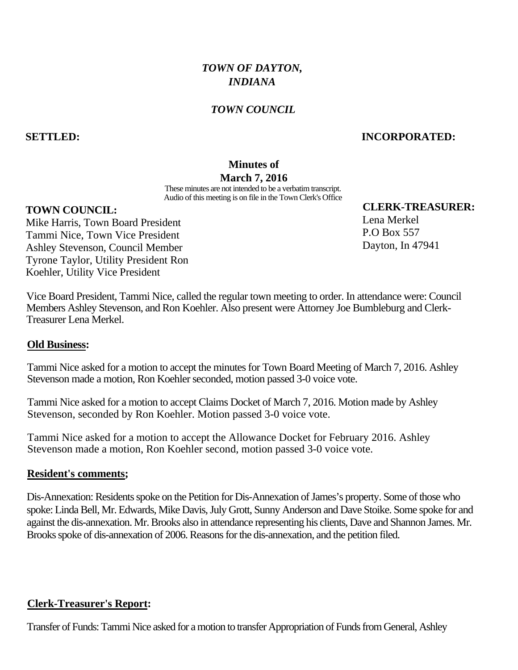# *TOWN OF DAYTON, INDIANA*

## *TOWN COUNCIL*

## **SETTLED: INCORPORATED:**

#### **Minutes of March 7, 2016**

These minutes are not intended to be a verbatim transcript. Audio of this meeting is on file in the Town Clerk's Office

### **TOWN COUNCIL:**

Mike Harris, Town Board President Tammi Nice, Town Vice President Ashley Stevenson, Council Member Tyrone Taylor, Utility President Ron Koehler, Utility Vice President

**CLERK-TREASURER:** Lena Merkel P.O Box 557 Dayton, In 47941

Vice Board President, Tammi Nice, called the regular town meeting to order. In attendance were: Council Members Ashley Stevenson, and Ron Koehler. Also present were Attorney Joe Bumbleburg and Clerk-Treasurer Lena Merkel.

#### **Old Business:**

Tammi Nice asked for a motion to accept the minutes for Town Board Meeting of March 7, 2016. Ashley Stevenson made a motion, Ron Koehler seconded, motion passed 3-0 voice vote.

Tammi Nice asked for a motion to accept Claims Docket of March 7, 2016. Motion made by Ashley Stevenson, seconded by Ron Koehler. Motion passed 3-0 voice vote.

Tammi Nice asked for a motion to accept the Allowance Docket for February 2016. Ashley Stevenson made a motion, Ron Koehler second, motion passed 3-0 voice vote.

#### **Resident's comments;**

Dis-Annexation: Residents spoke on the Petition for Dis-Annexation of James's property. Some of those who spoke: Linda Bell, Mr. Edwards, Mike Davis, July Grott, Sunny Anderson and Dave Stoike. Some spoke for and against the dis-annexation. Mr. Brooks also in attendance representing his clients, Dave and Shannon James. Mr. Brooks spoke of dis-annexation of 2006. Reasons for the dis-annexation, and the petition filed.

### **Clerk-Treasurer's Report:**

Transfer of Funds: Tammi Nice asked for a motion to transfer Appropriation of Funds from General, Ashley